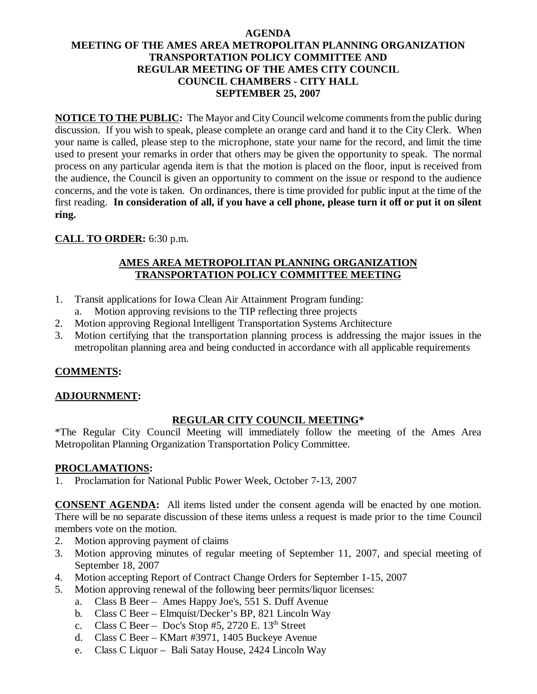### **AGENDA MEETING OF THE AMES AREA METROPOLITAN PLANNING ORGANIZATION TRANSPORTATION POLICY COMMITTEE AND REGULAR MEETING OF THE AMES CITY COUNCIL COUNCIL CHAMBERS - CITY HALL SEPTEMBER 25, 2007**

**NOTICE TO THE PUBLIC:** The Mayor and City Council welcome comments from the public during discussion. If you wish to speak, please complete an orange card and hand it to the City Clerk. When your name is called, please step to the microphone, state your name for the record, and limit the time used to present your remarks in order that others may be given the opportunity to speak. The normal process on any particular agenda item is that the motion is placed on the floor, input is received from the audience, the Council is given an opportunity to comment on the issue or respond to the audience concerns, and the vote is taken. On ordinances, there is time provided for public input at the time of the first reading. **In consideration of all, if you have a cell phone, please turn it off or put it on silent ring.**

## **CALL TO ORDER:** 6:30 p.m.

### **AMES AREA METROPOLITAN PLANNING ORGANIZATION TRANSPORTATION POLICY COMMITTEE MEETING**

- 1. Transit applications for Iowa Clean Air Attainment Program funding:
	- a. Motion approving revisions to the TIP reflecting three projects
- 2. Motion approving Regional Intelligent Transportation Systems Architecture
- 3. Motion certifying that the transportation planning process is addressing the major issues in the metropolitan planning area and being conducted in accordance with all applicable requirements

## **COMMENTS:**

## **ADJOURNMENT:**

## **REGULAR CITY COUNCIL MEETING\***

\*The Regular City Council Meeting will immediately follow the meeting of the Ames Area Metropolitan Planning Organization Transportation Policy Committee.

#### **PROCLAMATIONS:**

1. Proclamation for National Public Power Week, October 7-13, 2007

**CONSENT AGENDA:** All items listed under the consent agenda will be enacted by one motion. There will be no separate discussion of these items unless a request is made prior to the time Council members vote on the motion.

- 2. Motion approving payment of claims
- 3. Motion approving minutes of regular meeting of September 11, 2007, and special meeting of September 18, 2007
- 4. Motion accepting Report of Contract Change Orders for September 1-15, 2007
- 5. Motion approving renewal of the following beer permits/liquor licenses:
	- a. Class B Beer Ames Happy Joe's, 551 S. Duff Avenue
	- b. Class C Beer Elmquist/Decker's BP, 821 Lincoln Way
	- c. Class C Beer Doc's Stop #5, 2720 E.  $13<sup>th</sup>$  Street
	- d. Class C Beer KMart #3971, 1405 Buckeye Avenue
	- e. Class C Liquor Bali Satay House, 2424 Lincoln Way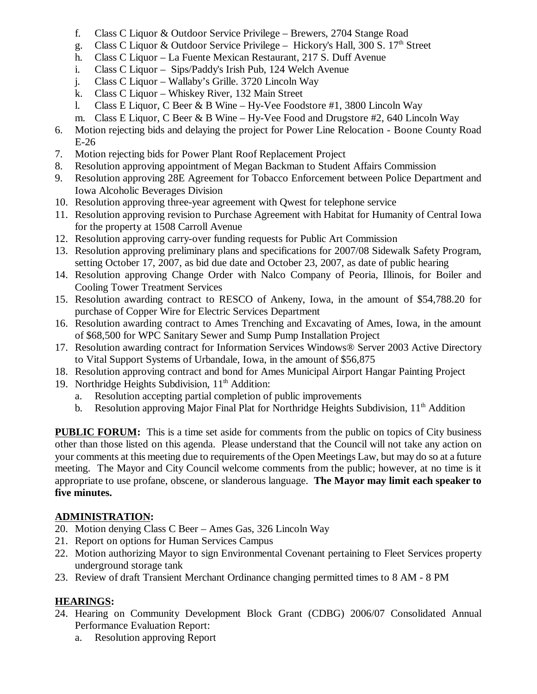- f. Class C Liquor & Outdoor Service Privilege Brewers, 2704 Stange Road
- g. Class C Liquor & Outdoor Service Privilege Hickory's Hall, 300 S.  $17<sup>th</sup>$  Street
- h. Class C Liquor La Fuente Mexican Restaurant, 217 S. Duff Avenue
- i. Class C Liquor Sips/Paddy's Irish Pub, 124 Welch Avenue
- j. Class C Liquor Wallaby's Grille. 3720 Lincoln Way
- k. Class C Liquor Whiskey River, 132 Main Street
- l. Class E Liquor, C Beer & B Wine Hy-Vee Foodstore #1, 3800 Lincoln Way
- m. Class E Liquor, C Beer & B Wine Hy-Vee Food and Drugstore  $#2,640$  Lincoln Way
- 6. Motion rejecting bids and delaying the project for Power Line Relocation Boone County Road E-26
- 7. Motion rejecting bids for Power Plant Roof Replacement Project
- 8. Resolution approving appointment of Megan Backman to Student Affairs Commission
- 9. Resolution approving 28E Agreement for Tobacco Enforcement between Police Department and Iowa Alcoholic Beverages Division
- 10. Resolution approving three-year agreement with Qwest for telephone service
- 11. Resolution approving revision to Purchase Agreement with Habitat for Humanity of Central Iowa for the property at 1508 Carroll Avenue
- 12. Resolution approving carry-over funding requests for Public Art Commission
- 13. Resolution approving preliminary plans and specifications for 2007/08 Sidewalk Safety Program, setting October 17, 2007, as bid due date and October 23, 2007, as date of public hearing
- 14. Resolution approving Change Order with Nalco Company of Peoria, Illinois, for Boiler and Cooling Tower Treatment Services
- 15. Resolution awarding contract to RESCO of Ankeny, Iowa, in the amount of \$54,788.20 for purchase of Copper Wire for Electric Services Department
- 16. Resolution awarding contract to Ames Trenching and Excavating of Ames, Iowa, in the amount of \$68,500 for WPC Sanitary Sewer and Sump Pump Installation Project
- 17. Resolution awarding contract for Information Services Windows® Server 2003 Active Directory to Vital Support Systems of Urbandale, Iowa, in the amount of \$56,875
- 18. Resolution approving contract and bond for Ames Municipal Airport Hangar Painting Project
- 19. Northridge Heights Subdivision, 11<sup>th</sup> Addition:
	- a. Resolution accepting partial completion of public improvements
	- b. Resolution approving Major Final Plat for Northridge Heights Subdivision, 11<sup>th</sup> Addition

**PUBLIC FORUM:** This is a time set aside for comments from the public on topics of City business other than those listed on this agenda. Please understand that the Council will not take any action on your comments at this meeting due to requirements of the Open Meetings Law, but may do so at a future meeting. The Mayor and City Council welcome comments from the public; however, at no time is it appropriate to use profane, obscene, or slanderous language. **The Mayor may limit each speaker to five minutes.**

## **ADMINISTRATION:**

- 20. Motion denying Class C Beer Ames Gas, 326 Lincoln Way
- 21. Report on options for Human Services Campus
- 22. Motion authorizing Mayor to sign Environmental Covenant pertaining to Fleet Services property underground storage tank
- 23. Review of draft Transient Merchant Ordinance changing permitted times to 8 AM 8 PM

# **HEARINGS:**

- 24. Hearing on Community Development Block Grant (CDBG) 2006/07 Consolidated Annual Performance Evaluation Report:
	- a. Resolution approving Report